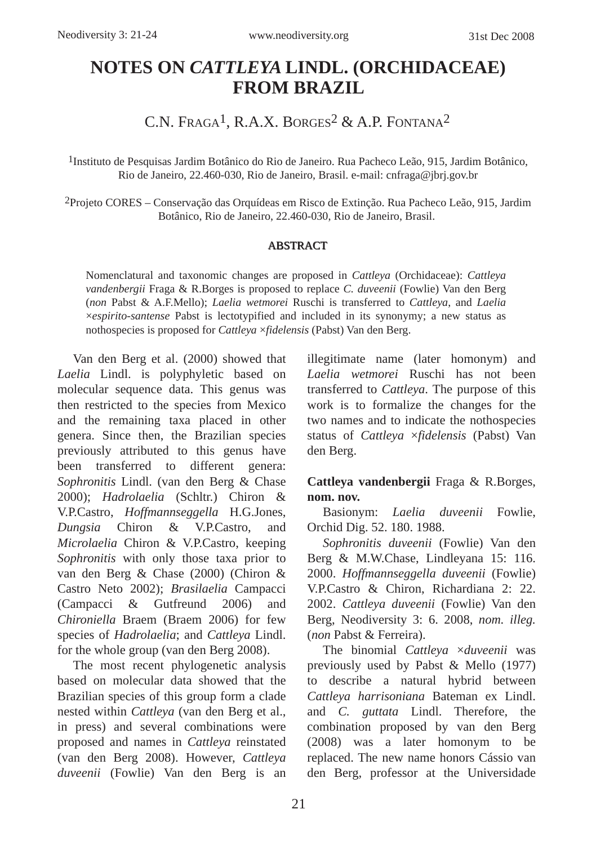# **NOTES ON** *CATTLEYA* **LINDL. (ORCHIDACEAE) FROM BRAZIL**

C.N. Fraga<sup>1</sup>, R.A.X. Borges<sup>2</sup> & A.P. Fontana<sup>2</sup>

1Instituto de Pesquisas Jardim Botânico do Rio de Janeiro. Rua Pacheco Leão, 915, Jardim Botânico, Rio de Janeiro, 22.460-030, Rio de Janeiro, Brasil. e-mail: cnfraga@jbrj.gov.br

2Projeto CORES – Conservação das Orquídeas em Risco de Extinção. Rua Pacheco Leão, 915, Jardim Botânico, Rio de Janeiro, 22.460-030, Rio de Janeiro, Brasil.

#### ABSTRACT

Nomenclatural and taxonomic changes are proposed in *Cattleya* (Orchidaceae): *Cattleya vandenbergii* Fraga & R.Borges is proposed to replace *C. duveenii* (Fowlie) Van den Berg (*non* Pabst & A.F.Mello); *Laelia wetmorei* Ruschi is transferred to *Cattleya*, and *Laelia* ×*espirito-santense* Pabst is lectotypified and included in its synonymy; a new status as nothospecies is proposed for *Cattleya* ×*fidelensis* (Pabst) Van den Berg.

Van den Berg et al. (2000) showed that *Laelia* Lindl. is polyphyletic based on molecular sequence data. This genus was then restricted to the species from Mexico and the remaining taxa placed in other genera. Since then, the Brazilian species previously attributed to this genus have been transferred to different genera: *Sophronitis* Lindl. (van den Berg & Chase 2000); *Hadrolaelia* (Schltr.) Chiron & V.P.Castro, *Hoffmannseggella* H.G.Jones, *Dungsia* Chiron & V.P.Castro, and *Microlaelia* Chiron & V.P.Castro, keeping *Sophronitis* with only those taxa prior to van den Berg & Chase (2000) (Chiron & Castro Neto 2002); *Brasilaelia* Campacci (Campacci & Gutfreund 2006) and *Chironiella* Braem (Braem 2006) for few species of *Hadrolaelia*; and *Cattleya* Lindl. for the whole group (van den Berg 2008).

The most recent phylogenetic analysis based on molecular data showed that the Brazilian species of this group form a clade nested within *Cattleya* (van den Berg et al., in press) and several combinations were proposed and names in *Cattleya* reinstated (van den Berg 2008). However, *Cattleya duveenii* (Fowlie) Van den Berg is an illegitimate name (later homonym) and *Laelia wetmorei* Ruschi has not been transferred to *Cattleya*. The purpose of this work is to formalize the changes for the two names and to indicate the nothospecies status of *Cattleya* ×*fidelensis* (Pabst) Van den Berg.

## **Cattleya vandenbergii** Fraga & R.Borges, **nom. nov.**

Basionym: *Laelia duveenii* Fowlie, Orchid Dig. 52. 180. 1988.

*Sophronitis duveenii* (Fowlie) Van den Berg & M.W.Chase, Lindleyana 15: 116. 2000. *Hoffmannseggella duveenii* (Fowlie) V.P.Castro & Chiron, Richardiana 2: 22. 2002. *Cattleya duveenii* (Fowlie) Van den Berg, Neodiversity 3: 6. 2008, *nom. illeg.* (*non* Pabst & Ferreira).

The binomial *Cattleya* ×*duveenii* was previously used by Pabst & Mello (1977) to describe a natural hybrid between *Cattleya harrisoniana* Bateman ex Lindl. and *C. guttata* Lindl. Therefore, the combination proposed by van den Berg (2008) was a later homonym to be replaced. The new name honors Cássio van den Berg, professor at the Universidade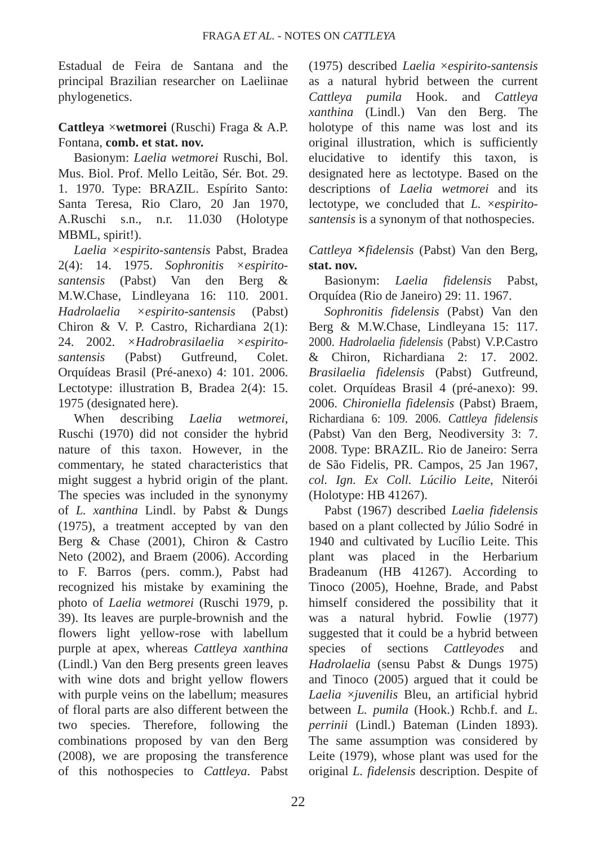Estadual de Feira de Santana and the principal Brazilian researcher on Laeliinae phylogenetics.

### **Cattleya** ×**wetmorei** (Ruschi) Fraga & A.P. Fontana, **comb. et stat. nov.**

Basionym: *Laelia wetmorei* Ruschi, Bol. Mus. Biol. Prof. Mello Leitão, Sér. Bot. 29. 1. 1970. Type: BRAZIL. Espírito Santo: Santa Teresa, Rio Claro, 20 Jan 1970, A.Ruschi s.n., n.r. 11.030 (Holotype MBML, spirit!).

*Laelia ×espirito-santensis* Pabst, Bradea 2(4): 14. 1975. *Sophronitis ×espiritosantensis* (Pabst) Van den Berg & M.W.Chase, Lindleyana 16: 110. 2001. *Hadrolaelia ×espirito-santensis* (Pabst) Chiron & V. P. Castro, Richardiana 2(1): 24. 2002. *×Hadrobrasilaelia ×espiritosantensis* (Pabst) Gutfreund, Colet. Orquídeas Brasil (Pré-anexo) 4: 101. 2006. Lectotype: illustration B, Bradea 2(4): 15. 1975 (designated here).

When describing *Laelia wetmorei*, Ruschi (1970) did not consider the hybrid nature of this taxon. However, in the commentary, he stated characteristics that might suggest a hybrid origin of the plant. The species was included in the synonymy of *L. xanthina* Lindl. by Pabst & Dungs (1975), a treatment accepted by van den Berg & Chase (2001), Chiron & Castro Neto (2002), and Braem (2006). According to F. Barros (pers. comm.), Pabst had recognized his mistake by examining the photo of *Laelia wetmorei* (Ruschi 1979, p. 39). Its leaves are purple-brownish and the flowers light yellow-rose with labellum purple at apex, whereas *Cattleya xanthina* (Lindl.) Van den Berg presents green leaves with wine dots and bright yellow flowers with purple veins on the labellum; measures of floral parts are also different between the two species. Therefore, following the combinations proposed by van den Berg (2008), we are proposing the transference of this nothospecies to *Cattleya*. Pabst (1975) described *Laelia* ×*espirito-santensis* as a natural hybrid between the current *Cattleya pumila* Hook. and *Cattleya xanthina* (Lindl.) Van den Berg. The holotype of this name was lost and its original illustration, which is sufficiently elucidative to identify this taxon, is designated here as lectotype. Based on the descriptions of *Laelia wetmorei* and its lectotype, we concluded that *L.* ×*espiritosantensis* is a synonym of that nothospecies.

## *Cattleya* **×***fidelensis* (Pabst) Van den Berg, **stat. nov.**

Basionym: *Laelia fidelensis* Pabst, Orquídea (Rio de Janeiro) 29: 11. 1967.

*Sophronitis fidelensis* (Pabst) Van den Berg & M.W.Chase, Lindleyana 15: 117. 2000. *Hadrolaelia fidelensis* (Pabst) V.P.Castro & Chiron, Richardiana 2: 17. 2002. *Brasilaelia fidelensis* (Pabst) Gutfreund, colet. Orquídeas Brasil 4 (pré-anexo): 99. 2006. *Chironiella fidelensis* (Pabst) Braem, Richardiana 6: 109. 2006. *Cattleya fidelensis* (Pabst) Van den Berg, Neodiversity 3: 7. 2008. Type: BRAZIL. Rio de Janeiro: Serra de São Fidelis, PR. Campos, 25 Jan 1967, *col. Ign. Ex Coll. Lúcilio Leite*, Niterói (Holotype: HB 41267).

Pabst (1967) described *Laelia fidelensis* based on a plant collected by Júlio Sodré in 1940 and cultivated by Lucílio Leite. This plant was placed in the Herbarium Bradeanum (HB 41267). According to Tinoco (2005), Hoehne, Brade, and Pabst himself considered the possibility that it was a natural hybrid. Fowlie (1977) suggested that it could be a hybrid between species of sections *Cattleyodes* and *Hadrolaelia* (sensu Pabst & Dungs 1975) and Tinoco (2005) argued that it could be *Laelia* ×*juvenilis* Bleu, an artificial hybrid between *L. pumila* (Hook.) Rchb.f. and *L. perrinii* (Lindl.) Bateman (Linden 1893). The same assumption was considered by Leite (1979), whose plant was used for the original *L. fidelensis* description. Despite of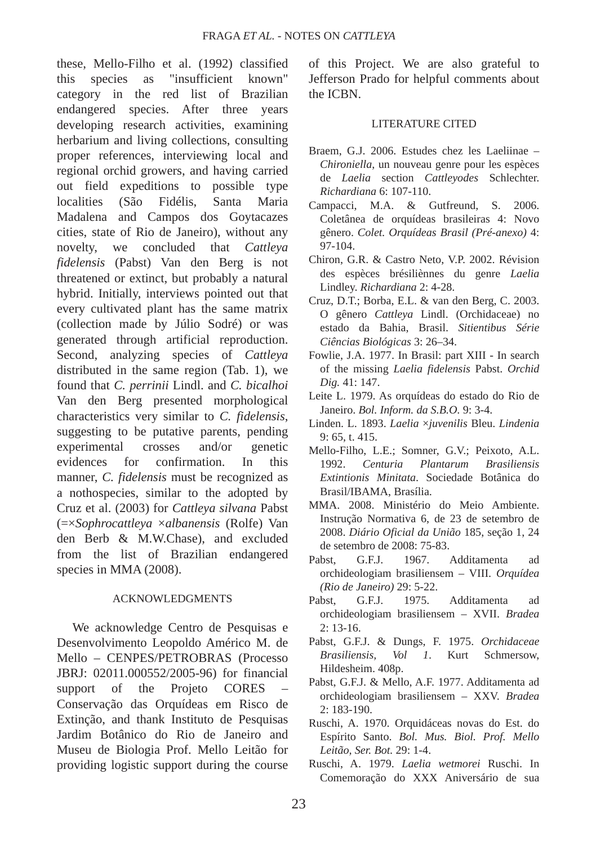these, Mello-Filho et al. (1992) classified this species as "insufficient known" category in the red list of Brazilian endangered species. After three years developing research activities, examining herbarium and living collections, consulting proper references, interviewing local and regional orchid growers, and having carried out field expeditions to possible type localities (São Fidélis, Santa Maria Madalena and Campos dos Goytacazes cities, state of Rio de Janeiro), without any novelty, we concluded that *Cattleya fidelensis* (Pabst) Van den Berg is not threatened or extinct, but probably a natural hybrid. Initially, interviews pointed out that every cultivated plant has the same matrix (collection made by Júlio Sodré) or was generated through artificial reproduction. Second, analyzing species of *Cattleya* distributed in the same region (Tab. 1), we found that *C. perrinii* Lindl. and *C. bicalhoi* Van den Berg presented morphological characteristics very similar to *C. fidelensis*, suggesting to be putative parents, pending experimental crosses and/or genetic evidences for confirmation. In this manner, *C. fidelensis* must be recognized as a nothospecies, similar to the adopted by Cruz et al. (2003) for *Cattleya silvana* Pabst (=×*Sophrocattleya* ×*albanensis* (Rolfe) Van den Berb & M.W.Chase), and excluded from the list of Brazilian endangered species in MMA (2008).

#### ACKNOWLEDGMENTS

We acknowledge Centro de Pesquisas e Desenvolvimento Leopoldo Américo M. de Mello – CENPES/PETROBRAS (Processo JBRJ: 02011.000552/2005-96) for financial support of the Projeto CORES Conservação das Orquídeas em Risco de Extinção, and thank Instituto de Pesquisas Jardim Botânico do Rio de Janeiro and Museu de Biologia Prof. Mello Leitão for providing logistic support during the course of this Project. We are also grateful to Jefferson Prado for helpful comments about the ICBN.

#### LITERATURE CITED

- Braem, G.J. 2006. Estudes chez les Laeliinae *Chironiella*, un nouveau genre pour les espèces de *Laelia* section *Cattleyodes* Schlechter. *Richardiana* 6: 107-110.
- Campacci, M.A. & Gutfreund, S. 2006. Coletânea de orquídeas brasileiras 4: Novo gênero. *Colet. Orquídeas Brasil (Pré-anexo)* 4: 97-104.
- Chiron, G.R. & Castro Neto, V.P. 2002. Révision des espèces brésiliènnes du genre *Laelia* Lindley. *Richardiana* 2: 4-28.
- Cruz, D.T.; Borba, E.L. & van den Berg, C. 2003. O gênero *Cattleya* Lindl. (Orchidaceae) no estado da Bahia, Brasil. *Sitientibus Série Ciências Biológicas* 3: 26–34.
- Fowlie, J.A. 1977. In Brasil: part XIII In search of the missing *Laelia fidelensis* Pabst. *Orchid Dig.* 41: 147.
- Leite L. 1979. As orquídeas do estado do Rio de Janeiro. *Bol. Inform. da S.B.O.* 9: 3-4.
- Linden. L. 1893. *Laelia* ×*juvenilis* Bleu. *Lindenia* 9: 65, t. 415.
- Mello-Filho, L.E.; Somner, G.V.; Peixoto, A.L. 1992. *Centuria Plantarum Brasiliensis Extintionis Minitata*. Sociedade Botânica do Brasil/IBAMA, Brasília.
- MMA. 2008. Ministério do Meio Ambiente. Instrução Normativa 6, de 23 de setembro de 2008. *Diário Oficial da União* 185, seção 1, 24 de setembro de 2008: 75-83.
- Pabst, G.F.J. 1967. Additamenta ad orchideologiam brasiliensem – VIII. *Orquídea (Rio de Janeiro)* 29: 5-22.
- Pabst, G.F.J. 1975. Additamenta ad orchideologiam brasiliensem – XVII. *Bradea* 2: 13-16.
- Pabst, G.F.J. & Dungs, F. 1975. *Orchidaceae Brasiliensis, Vol 1*. Kurt Schmersow, Hildesheim. 408p.
- Pabst, G.F.J. & Mello, A.F. 1977. Additamenta ad orchideologiam brasiliensem – XXV. *Bradea* 2: 183-190.
- Ruschi, A. 1970. Orquidáceas novas do Est. do Espírito Santo. *Bol. Mus. Biol. Prof. Mello Leitão, Ser. Bot.* 29: 1-4.
- Ruschi, A. 1979. *Laelia wetmorei* Ruschi. In Comemoração do XXX Aniversário de sua